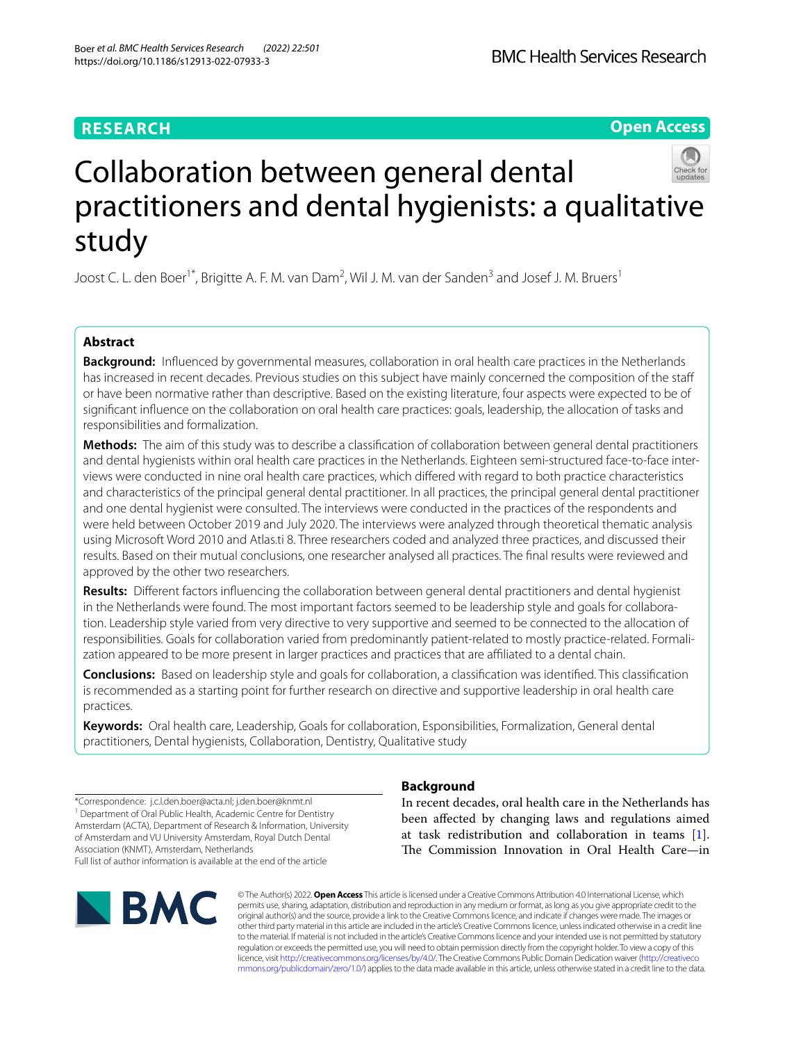## **RESEARCH**

## **Open Access**



# Collaboration between general dental practitioners and dental hygienists: a qualitative study

Joost C. L. den Boer<sup>1\*</sup>, Brigitte A. F. M. van Dam<sup>2</sup>, Wil J. M. van der Sanden<sup>3</sup> and Josef J. M. Bruers<sup>1</sup>

## **Abstract**

**Background:** Infuenced by governmental measures, collaboration in oral health care practices in the Netherlands has increased in recent decades. Previous studies on this subject have mainly concerned the composition of the staff or have been normative rather than descriptive. Based on the existing literature, four aspects were expected to be of signifcant infuence on the collaboration on oral health care practices: goals, leadership, the allocation of tasks and responsibilities and formalization.

**Methods:** The aim of this study was to describe a classifcation of collaboration between general dental practitioners and dental hygienists within oral health care practices in the Netherlands. Eighteen semi-structured face-to-face interviews were conducted in nine oral health care practices, which difered with regard to both practice characteristics and characteristics of the principal general dental practitioner. In all practices, the principal general dental practitioner and one dental hygienist were consulted. The interviews were conducted in the practices of the respondents and were held between October 2019 and July 2020. The interviews were analyzed through theoretical thematic analysis using Microsoft Word 2010 and Atlas.ti 8. Three researchers coded and analyzed three practices, and discussed their results. Based on their mutual conclusions, one researcher analysed all practices. The fnal results were reviewed and approved by the other two researchers.

**Results:** Diferent factors infuencing the collaboration between general dental practitioners and dental hygienist in the Netherlands were found. The most important factors seemed to be leadership style and goals for collaboration. Leadership style varied from very directive to very supportive and seemed to be connected to the allocation of responsibilities. Goals for collaboration varied from predominantly patient-related to mostly practice-related. Formalization appeared to be more present in larger practices and practices that are affiliated to a dental chain.

**Conclusions:** Based on leadership style and goals for collaboration, a classifcation was identifed. This classifcation is recommended as a starting point for further research on directive and supportive leadership in oral health care practices.

**Keywords:** Oral health care, Leadership, Goals for collaboration, Esponsibilities, Formalization, General dental practitioners, Dental hygienists, Collaboration, Dentistry, Qualitative study

\*Correspondence: j.c.l.den.boer@acta.nl; j.den.boer@knmt.nl <sup>1</sup> Department of Oral Public Health, Academic Centre for Dentistry Amsterdam (ACTA), Department of Research & Information, University of Amsterdam and VU University Amsterdam, Royal Dutch Dental Association (KNMT), Amsterdam, Netherlands Full list of author information is available at the end of the article



## **Background**

In recent decades, oral health care in the Netherlands has been afected by changing laws and regulations aimed at task redistribution and collaboration in teams [\[1](#page-11-0)]. The Commission Innovation in Oral Health Care-in

© The Author(s) 2022. **Open Access** This article is licensed under a Creative Commons Attribution 4.0 International License, which permits use, sharing, adaptation, distribution and reproduction in any medium or format, as long as you give appropriate credit to the original author(s) and the source, provide a link to the Creative Commons licence, and indicate if changes were made. The images or other third party material in this article are included in the article's Creative Commons licence, unless indicated otherwise in a credit line to the material. If material is not included in the article's Creative Commons licence and your intended use is not permitted by statutory regulation or exceeds the permitted use, you will need to obtain permission directly from the copyright holder. To view a copy of this licence, visit [http://creativecommons.org/licenses/by/4.0/.](http://creativecommons.org/licenses/by/4.0/) The Creative Commons Public Domain Dedication waiver ([http://creativeco](http://creativecommons.org/publicdomain/zero/1.0/) [mmons.org/publicdomain/zero/1.0/](http://creativecommons.org/publicdomain/zero/1.0/)) applies to the data made available in this article, unless otherwise stated in a credit line to the data.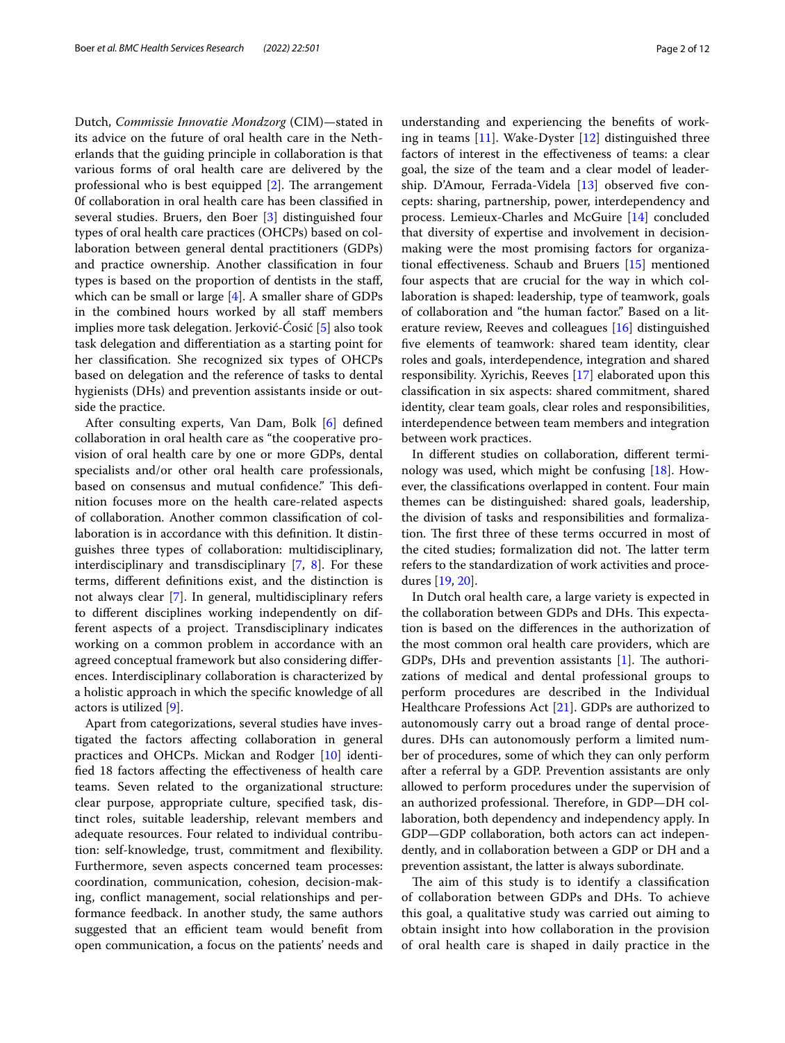Dutch, *Commissie Innovatie Mondzorg* (CIM)—stated in its advice on the future of oral health care in the Netherlands that the guiding principle in collaboration is that various forms of oral health care are delivered by the professional who is best equipped  $[2]$  $[2]$  $[2]$ . The arrangement 0f collaboration in oral health care has been classifed in several studies. Bruers, den Boer [[3\]](#page-11-2) distinguished four types of oral health care practices (OHCPs) based on collaboration between general dental practitioners (GDPs) and practice ownership. Another classifcation in four types is based on the proportion of dentists in the staf, which can be small or large [[4\]](#page-11-3). A smaller share of GDPs in the combined hours worked by all staff members implies more task delegation. Jerković-Ćosić [\[5](#page-11-4)] also took task delegation and diferentiation as a starting point for her classifcation. She recognized six types of OHCPs based on delegation and the reference of tasks to dental hygienists (DHs) and prevention assistants inside or outside the practice.

After consulting experts, Van Dam, Bolk [[6\]](#page-11-5) defned collaboration in oral health care as "the cooperative provision of oral health care by one or more GDPs, dental specialists and/or other oral health care professionals, based on consensus and mutual confidence." This definition focuses more on the health care-related aspects of collaboration. Another common classifcation of collaboration is in accordance with this defnition. It distinguishes three types of collaboration: multidisciplinary, interdisciplinary and transdisciplinary [\[7](#page-11-6), [8\]](#page-11-7). For these terms, diferent defnitions exist, and the distinction is not always clear [\[7](#page-11-6)]. In general, multidisciplinary refers to diferent disciplines working independently on different aspects of a project. Transdisciplinary indicates working on a common problem in accordance with an agreed conceptual framework but also considering diferences. Interdisciplinary collaboration is characterized by a holistic approach in which the specifc knowledge of all actors is utilized [[9\]](#page-11-8).

Apart from categorizations, several studies have investigated the factors afecting collaboration in general practices and OHCPs. Mickan and Rodger [\[10](#page-11-9)] identifed 18 factors afecting the efectiveness of health care teams. Seven related to the organizational structure: clear purpose, appropriate culture, specifed task, distinct roles, suitable leadership, relevant members and adequate resources. Four related to individual contribution: self-knowledge, trust, commitment and fexibility. Furthermore, seven aspects concerned team processes: coordination, communication, cohesion, decision-making, confict management, social relationships and performance feedback. In another study, the same authors suggested that an efficient team would benefit from open communication, a focus on the patients' needs and

understanding and experiencing the benefts of working in teams  $[11]$  $[11]$ . Wake-Dyster  $[12]$  $[12]$  distinguished three factors of interest in the efectiveness of teams: a clear goal, the size of the team and a clear model of leader-ship. D'Amour, Ferrada-Videla [\[13\]](#page-11-12) observed five concepts: sharing, partnership, power, interdependency and process. Lemieux-Charles and McGuire [\[14](#page-11-13)] concluded that diversity of expertise and involvement in decisionmaking were the most promising factors for organizational efectiveness. Schaub and Bruers [\[15](#page-11-14)] mentioned four aspects that are crucial for the way in which collaboration is shaped: leadership, type of teamwork, goals of collaboration and "the human factor." Based on a literature review, Reeves and colleagues [\[16](#page-11-15)] distinguished fve elements of teamwork: shared team identity, clear roles and goals, interdependence, integration and shared responsibility. Xyrichis, Reeves [[17](#page-11-16)] elaborated upon this classifcation in six aspects: shared commitment, shared identity, clear team goals, clear roles and responsibilities, interdependence between team members and integration between work practices.

In diferent studies on collaboration, diferent terminology was used, which might be confusing [\[18](#page-11-17)]. However, the classifcations overlapped in content. Four main themes can be distinguished: shared goals, leadership, the division of tasks and responsibilities and formalization. The first three of these terms occurred in most of the cited studies; formalization did not. The latter term refers to the standardization of work activities and procedures [[19,](#page-11-18) [20](#page-11-19)].

In Dutch oral health care, a large variety is expected in the collaboration between GDPs and DHs. This expectation is based on the diferences in the authorization of the most common oral health care providers, which are GDPs, DHs and prevention assistants  $[1]$  $[1]$ . The authorizations of medical and dental professional groups to perform procedures are described in the Individual Healthcare Professions Act [[21](#page-11-20)]. GDPs are authorized to autonomously carry out a broad range of dental procedures. DHs can autonomously perform a limited number of procedures, some of which they can only perform after a referral by a GDP. Prevention assistants are only allowed to perform procedures under the supervision of an authorized professional. Therefore, in GDP-DH collaboration, both dependency and independency apply. In GDP—GDP collaboration, both actors can act independently, and in collaboration between a GDP or DH and a prevention assistant, the latter is always subordinate.

The aim of this study is to identify a classification of collaboration between GDPs and DHs. To achieve this goal, a qualitative study was carried out aiming to obtain insight into how collaboration in the provision of oral health care is shaped in daily practice in the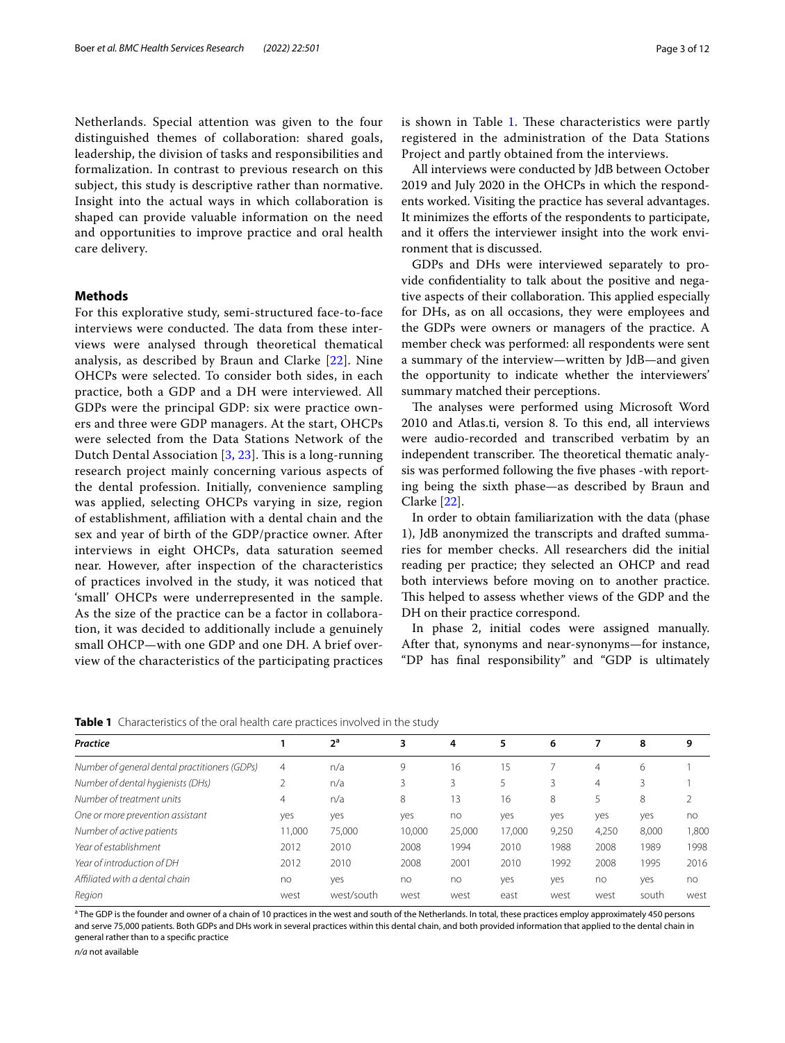Netherlands. Special attention was given to the four distinguished themes of collaboration: shared goals, leadership, the division of tasks and responsibilities and formalization. In contrast to previous research on this subject, this study is descriptive rather than normative. Insight into the actual ways in which collaboration is shaped can provide valuable information on the need and opportunities to improve practice and oral health care delivery.

## **Methods**

For this explorative study, semi-structured face-to-face interviews were conducted. The data from these interviews were analysed through theoretical thematical analysis, as described by Braun and Clarke [\[22\]](#page-11-21). Nine OHCPs were selected. To consider both sides, in each practice, both a GDP and a DH were interviewed. All GDPs were the principal GDP: six were practice owners and three were GDP managers. At the start, OHCPs were selected from the Data Stations Network of the Dutch Dental Association  $[3, 23]$  $[3, 23]$  $[3, 23]$  $[3, 23]$ . This is a long-running research project mainly concerning various aspects of the dental profession. Initially, convenience sampling was applied, selecting OHCPs varying in size, region of establishment, afliation with a dental chain and the sex and year of birth of the GDP/practice owner. After interviews in eight OHCPs, data saturation seemed near. However, after inspection of the characteristics of practices involved in the study, it was noticed that 'small' OHCPs were underrepresented in the sample. As the size of the practice can be a factor in collaboration, it was decided to additionally include a genuinely small OHCP—with one GDP and one DH. A brief overview of the characteristics of the participating practices

All interviews were conducted by JdB between October 2019 and July 2020 in the OHCPs in which the respondents worked. Visiting the practice has several advantages. It minimizes the eforts of the respondents to participate, and it offers the interviewer insight into the work environment that is discussed.

GDPs and DHs were interviewed separately to provide confdentiality to talk about the positive and negative aspects of their collaboration. This applied especially for DHs, as on all occasions, they were employees and the GDPs were owners or managers of the practice. A member check was performed: all respondents were sent a summary of the interview—written by JdB—and given the opportunity to indicate whether the interviewers' summary matched their perceptions.

The analyses were performed using Microsoft Word 2010 and Atlas.ti, version 8. To this end, all interviews were audio-recorded and transcribed verbatim by an independent transcriber. The theoretical thematic analysis was performed following the fve phases -with reporting being the sixth phase—as described by Braun and Clarke [\[22\]](#page-11-21).

In order to obtain familiarization with the data (phase 1), JdB anonymized the transcripts and drafted summaries for member checks. All researchers did the initial reading per practice; they selected an OHCP and read both interviews before moving on to another practice. This helped to assess whether views of the GDP and the DH on their practice correspond.

In phase 2, initial codes were assigned manually. After that, synonyms and near-synonyms—for instance, "DP has fnal responsibility" and "GDP is ultimately

<span id="page-2-0"></span>**Table 1** Characteristics of the oral health care practices involved in the study

| Practice                                      |                | 2 <sup>a</sup> | 3      | 4      | 5      | 6     |       | 8     | 9     |
|-----------------------------------------------|----------------|----------------|--------|--------|--------|-------|-------|-------|-------|
| Number of general dental practitioners (GDPs) | $\overline{4}$ | n/a            | 9      | 16     | 15     |       | 4     | 6     |       |
| Number of dental hygienists (DHs)             | 2              | n/a            | 3      | 3      |        | 3     | 4     |       |       |
| Number of treatment units                     | $\overline{4}$ | n/a            | 8      | 3      | 16     | 8     |       | 8     |       |
| One or more prevention assistant              | yes            | yes            | yes    | no     | yes    | yes   | yes   | ves   | no    |
| Number of active patients                     | 11,000         | 75,000         | 10.000 | 25,000 | 17.000 | 9,250 | 4,250 | 8.000 | 1,800 |
| Year of establishment                         | 2012           | 2010           | 2008   | 1994   | 2010   | 1988  | 2008  | 1989  | 1998  |
| Year of introduction of DH                    | 2012           | 2010           | 2008   | 2001   | 2010   | 1992  | 2008  | 1995  | 2016  |
| Affiliated with a dental chain                | no             | yes            | no     | no     | yes    | yes   | no    | yes   | no    |
| Region                                        | west           | west/south     | west   | west   | east   | west  | west  | south | west  |

<sup>a</sup> The GDP is the founder and owner of a chain of 10 practices in the west and south of the Netherlands. In total, these practices employ approximately 450 persons and serve 75,000 patients. Both GDPs and DHs work in several practices within this dental chain, and both provided information that applied to the dental chain in general rather than to a specifc practice

*n/a* not available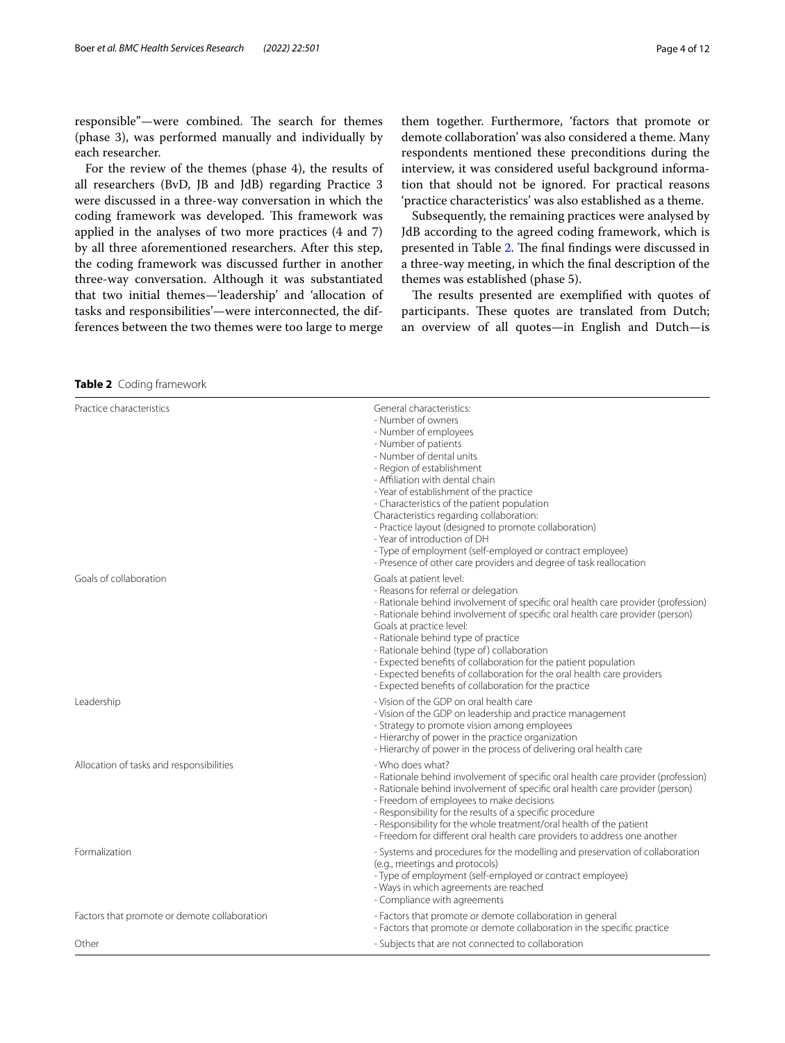responsible"-were combined. The search for themes (phase 3), was performed manually and individually by each researcher.

For the review of the themes (phase 4), the results of all researchers (BvD, JB and JdB) regarding Practice 3 were discussed in a three-way conversation in which the coding framework was developed. This framework was applied in the analyses of two more practices (4 and 7) by all three aforementioned researchers. After this step, the coding framework was discussed further in another three-way conversation. Although it was substantiated that two initial themes—'leadership' and 'allocation of tasks and responsibilities'—were interconnected, the differences between the two themes were too large to merge them together. Furthermore, 'factors that promote or demote collaboration' was also considered a theme. Many respondents mentioned these preconditions during the interview, it was considered useful background information that should not be ignored. For practical reasons 'practice characteristics' was also established as a theme.

Subsequently, the remaining practices were analysed by JdB according to the agreed coding framework, which is presented in Table [2.](#page-3-0) The final findings were discussed in a three-way meeting, in which the fnal description of the themes was established (phase 5).

The results presented are exemplified with quotes of participants. These quotes are translated from Dutch; an overview of all quotes—in English and Dutch—is

<span id="page-3-0"></span>**Table 2** Coding framework

| Practice characteristics                     | General characteristics:<br>- Number of owners<br>- Number of employees<br>- Number of patients<br>- Number of dental units<br>- Region of establishment<br>- Affiliation with dental chain<br>- Year of establishment of the practice<br>- Characteristics of the patient population<br>Characteristics regarding collaboration:<br>- Practice layout (designed to promote collaboration)<br>- Year of introduction of DH<br>- Type of employment (self-employed or contract employee)<br>- Presence of other care providers and degree of task reallocation |
|----------------------------------------------|---------------------------------------------------------------------------------------------------------------------------------------------------------------------------------------------------------------------------------------------------------------------------------------------------------------------------------------------------------------------------------------------------------------------------------------------------------------------------------------------------------------------------------------------------------------|
| Goals of collaboration                       | Goals at patient level:<br>- Reasons for referral or delegation<br>- Rationale behind involvement of specific oral health care provider (profession)<br>- Rationale behind involvement of specific oral health care provider (person)<br>Goals at practice level:<br>- Rationale behind type of practice<br>- Rationale behind (type of) collaboration<br>- Expected benefits of collaboration for the patient population<br>- Expected benefits of collaboration for the oral health care providers<br>- Expected benefits of collaboration for the practice |
| Leadership                                   | - Vision of the GDP on oral health care<br>- Vision of the GDP on leadership and practice management<br>- Strategy to promote vision among employees<br>- Hierarchy of power in the practice organization<br>- Hierarchy of power in the process of delivering oral health care                                                                                                                                                                                                                                                                               |
| Allocation of tasks and responsibilities     | - Who does what?<br>- Rationale behind involvement of specific oral health care provider (profession)<br>- Rationale behind involvement of specific oral health care provider (person)<br>- Freedom of employees to make decisions<br>- Responsibility for the results of a specific procedure<br>- Responsibility for the whole treatment/oral health of the patient<br>- Freedom for different oral health care providers to address one another                                                                                                            |
| Formalization                                | - Systems and procedures for the modelling and preservation of collaboration<br>(e.g., meetings and protocols)<br>- Type of employment (self-employed or contract employee)<br>- Ways in which agreements are reached<br>- Compliance with agreements                                                                                                                                                                                                                                                                                                         |
| Factors that promote or demote collaboration | - Factors that promote or demote collaboration in general<br>- Factors that promote or demote collaboration in the specific practice                                                                                                                                                                                                                                                                                                                                                                                                                          |
| Other                                        | - Subjects that are not connected to collaboration                                                                                                                                                                                                                                                                                                                                                                                                                                                                                                            |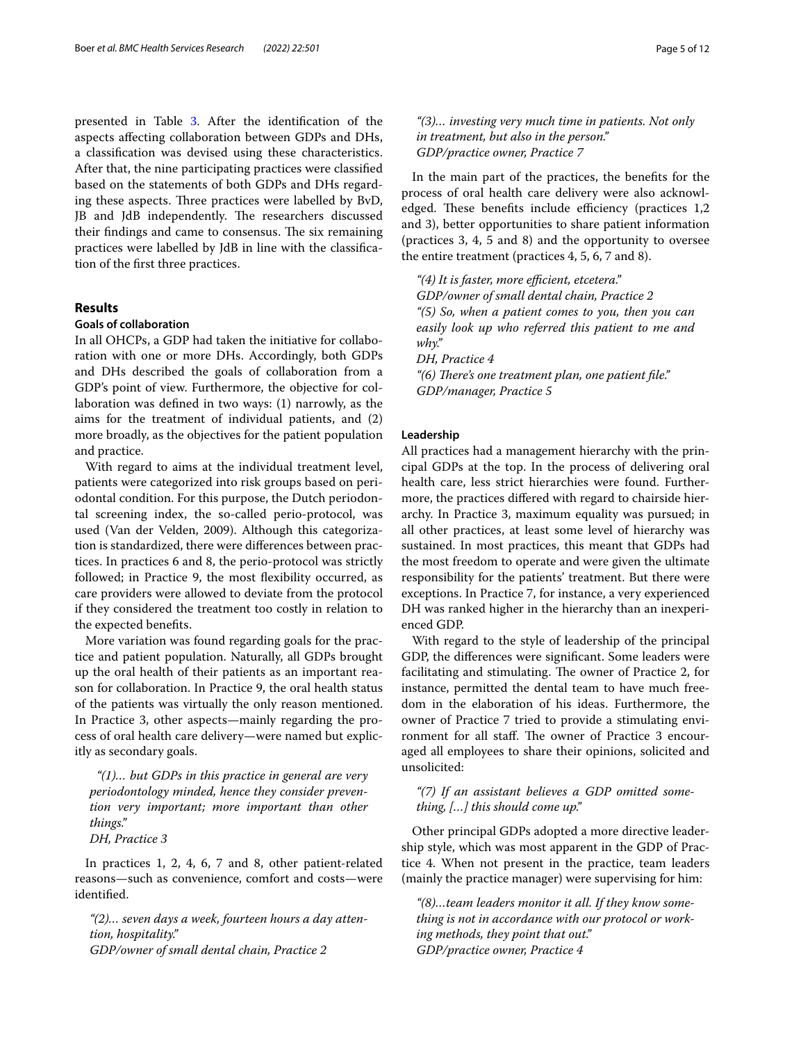presented in Table [3](#page-5-0). After the identifcation of the aspects afecting collaboration between GDPs and DHs, a classifcation was devised using these characteristics. After that, the nine participating practices were classifed based on the statements of both GDPs and DHs regarding these aspects. Three practices were labelled by BvD, JB and JdB independently. The researchers discussed their findings and came to consensus. The six remaining practices were labelled by JdB in line with the classifcation of the frst three practices.

## **Results**

## **Goals of collaboration**

In all OHCPs, a GDP had taken the initiative for collaboration with one or more DHs. Accordingly, both GDPs and DHs described the goals of collaboration from a GDP's point of view. Furthermore, the objective for collaboration was defned in two ways: (1) narrowly, as the aims for the treatment of individual patients, and (2) more broadly, as the objectives for the patient population and practice.

With regard to aims at the individual treatment level, patients were categorized into risk groups based on periodontal condition. For this purpose, the Dutch periodontal screening index, the so-called perio-protocol, was used (Van der Velden, 2009). Although this categorization is standardized, there were diferences between practices. In practices 6 and 8, the perio-protocol was strictly followed; in Practice 9, the most fexibility occurred, as care providers were allowed to deviate from the protocol if they considered the treatment too costly in relation to the expected benefts.

More variation was found regarding goals for the practice and patient population. Naturally, all GDPs brought up the oral health of their patients as an important reason for collaboration. In Practice 9, the oral health status of the patients was virtually the only reason mentioned. In Practice 3, other aspects—mainly regarding the process of oral health care delivery—were named but explicitly as secondary goals.

 *"(1)… but GDPs in this practice in general are very periodontology minded, hence they consider prevention very important; more important than other things."*

*DH, Practice 3*

In practices 1, 2, 4, 6, 7 and 8, other patient-related reasons—such as convenience, comfort and costs—were identifed.

*"(2)… seven days a week, fourteen hours a day attention, hospitality." GDP/owner of small dental chain, Practice 2*

*"(3)… investing very much time in patients. Not only in treatment, but also in the person." GDP/practice owner, Practice 7*

In the main part of the practices, the benefts for the process of oral health care delivery were also acknowledged. These benefits include efficiency (practices 1,2 and 3), better opportunities to share patient information (practices 3, 4, 5 and 8) and the opportunity to oversee the entire treatment (practices 4, 5, 6, 7 and 8).

*"(4) It is faster, more efcient, etcetera." GDP/owner of small dental chain, Practice 2 "(5) So, when a patient comes to you, then you can easily look up who referred this patient to me and why." DH, Practice 4* "(6) There's one treatment plan, one patient file." *GDP/manager, Practice 5*

## **Leadership**

All practices had a management hierarchy with the principal GDPs at the top. In the process of delivering oral health care, less strict hierarchies were found. Furthermore, the practices difered with regard to chairside hierarchy. In Practice 3, maximum equality was pursued; in all other practices, at least some level of hierarchy was sustained. In most practices, this meant that GDPs had the most freedom to operate and were given the ultimate responsibility for the patients' treatment. But there were exceptions. In Practice 7, for instance, a very experienced DH was ranked higher in the hierarchy than an inexperienced GDP.

With regard to the style of leadership of the principal GDP, the diferences were signifcant. Some leaders were facilitating and stimulating. The owner of Practice 2, for instance, permitted the dental team to have much freedom in the elaboration of his ideas. Furthermore, the owner of Practice 7 tried to provide a stimulating environment for all staff. The owner of Practice 3 encouraged all employees to share their opinions, solicited and unsolicited:

## *"(7) If an assistant believes a GDP omitted something, […] this should come up."*

Other principal GDPs adopted a more directive leadership style, which was most apparent in the GDP of Practice 4. When not present in the practice, team leaders (mainly the practice manager) were supervising for him:

*"(8)…team leaders monitor it all. If they know something is not in accordance with our protocol or working methods, they point that out." GDP/practice owner, Practice 4*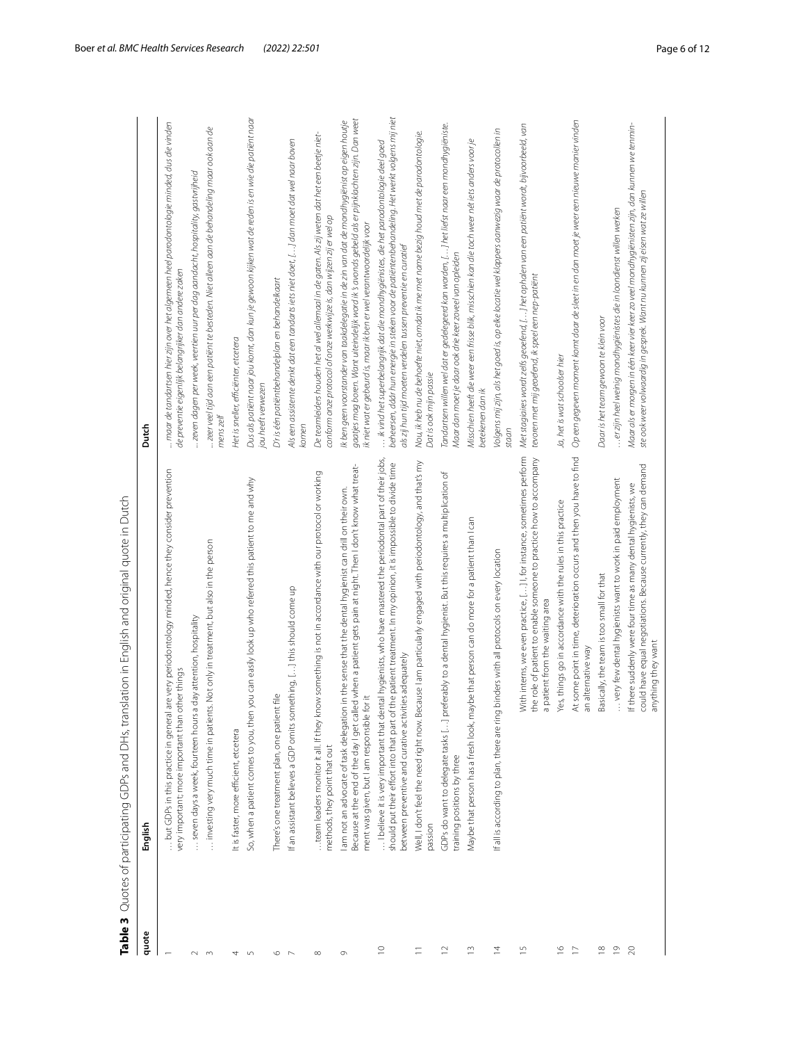<span id="page-5-0"></span>

| Table 3                 | Quotes of participating GDPs and DHs, translation in English and original quote in Dutch                                                                                                                                                                                                         |                                                                                                                                                                                                                                                                         |
|-------------------------|--------------------------------------------------------------------------------------------------------------------------------------------------------------------------------------------------------------------------------------------------------------------------------------------------|-------------------------------------------------------------------------------------------------------------------------------------------------------------------------------------------------------------------------------------------------------------------------|
| quote                   | English                                                                                                                                                                                                                                                                                          | Dutch                                                                                                                                                                                                                                                                   |
|                         | but GDPs in this practice in general are very periodontology minded, hence they consider prevention<br>very important; more important than other things                                                                                                                                          | maar de tandartsen hier zijn over het algemeen heel parodontologie minded, dus die vinden<br>de preventie eigenlijk belangrijker dan andere zaken                                                                                                                       |
| $\sim$                  | seven days a week, fourteen hours a day attention, hospitality                                                                                                                                                                                                                                   | "zeven dagen per week, veertien uur per dag aandacht, hospitality, gastwijheid                                                                                                                                                                                          |
| ം                       | investing very much time in patients. Not only in treatment, but also in the person                                                                                                                                                                                                              | zeer veel tijd aan een patiënt te besteden. Niet alleen aan de behandeling maar ook aan de<br>mens zelf                                                                                                                                                                 |
| 4                       | It is faster, more efficient, etcetera                                                                                                                                                                                                                                                           | Het is sneller, efficiënter, etcetera                                                                                                                                                                                                                                   |
| S                       | So, when a patient comes to you, then you can easily look up who referred this patient to me and why                                                                                                                                                                                             | Dus als patiënt naarjou komt, dan kun je gewoon kijken wat de reden is en wie die patiënt naar<br>jou heeft verwezen                                                                                                                                                    |
| $\circ$                 | file<br>There's one treatment plan, one patient                                                                                                                                                                                                                                                  | D'r is één patiëntbehandelplan en behandelkaart                                                                                                                                                                                                                         |
| $\overline{ }$          | If an assistant believes a GDP omits something, [] this should come up                                                                                                                                                                                                                           | Als een assistente denkt dat een tandarts iets niet doet, [] dan moet dat wel naar boven<br>komen                                                                                                                                                                       |
| $\infty$                | team leaders monitor it all. If they know something is not in accordance with our protocol or working<br>methods, they point that out                                                                                                                                                            | De teamleiders houden het al wel allemaal in de gaten. Als zij weten dat het een beetje niet-<br>conform onze protocol of onze werkwijze is, dan wijzen zij er wel op                                                                                                   |
| $\sigma$                | Because at the end of the day I get called when a patient gets pain at night. Then I don't know what treat-<br>in the sense that the dental hygienist can drill on their own.<br>ment was given, but I am responsible for it<br>am not an advocate of task delegation                            | gaatjes mag boren. Want uiteindelijk word ik 's avonds gebeld als er pijnklachten zijn. Dan weet<br>Ik ben geen voorstander van taakdelegatie in de zin van dat de mondhygiënist op eigen houtje<br>ik niet wat er gebeurd is, maar ik ben er wel verantwoordelijk voor |
| $\supseteq$             | I believe it is very important that dental hygienists, who have mastered the periodontal part of their jobs,<br>he patient treatment. In my opinion, it is impossible to divide time<br>ies adequately<br>should put their effort into that part of t<br>between preventive and curative activit | beheersen, dáár hun energie in steken voor de patiëntenbehandeling. Het werkt volgens mij niet<br>ik vind het superbelangrijk dat die mondhygiënistes, die het parodontologie deel goed<br>als zij hun tijd moeten verdelen tussen preventie en curatief                |
| Ξ                       | Well, I don't feel the need right now. Because I am particularly engaged with periodontology, and that's my<br>passion                                                                                                                                                                           | Nou, ik heb nu de behoefte niet, omdat ik me met name bezig houd met de parodontologie.<br>Dat is ook mijn passie                                                                                                                                                       |
| $\approx$               | GDPs do want to delegate tasks […] preferably to a dental hygienist. But this requires a multiplication of<br>training positions by three                                                                                                                                                        | Tandartsen willen wel dat er gedelegeerd kan worden, […] het liefst naar een mondhygiëniste.<br>Maar dan moet je daar ook drie keer zoveel van opleiden                                                                                                                 |
| ≘                       | be that person can do more for a patient than I can<br>Maybe that person has a fresh look, may                                                                                                                                                                                                   | Misschien heeft die weer een frisse blik, misschien kan die toch weer nét iets anders voor je<br>betekenen dan ik                                                                                                                                                       |
| $\bar{4}$               | binders with all protocols on every location<br>If all is according to plan, there are ring                                                                                                                                                                                                      | Volgens mij zijn, als het goed is, op elke locatie wel klappers aanwezig waar de protocollen in<br>staan                                                                                                                                                                |
| 은                       | With interns, we even practice, [] I, for instance, sometimes perform<br>the role of patient to enable someone to practice how to accompany<br>a patient from the waiting area                                                                                                                   | Met stagiaires wordt zelfs geoefend, […] het ophalen van een patiënt wordt, bijvoorbeeld, van<br>tevoren met mij geoefend, ik speel een nep-patiënt                                                                                                                     |
| $\frac{6}{1}$           | Yes, things go in accordance with the rules in this practice                                                                                                                                                                                                                                     | Ja, het is wat schoolser hier                                                                                                                                                                                                                                           |
| $\overline{C}$          | At some point in time, deterioration occurs and then you have to find<br>an alternative way                                                                                                                                                                                                      | Op een gegeven moment komt daar de sleet in en dan moet je weer een nieuwe manier vinden                                                                                                                                                                                |
| $\frac{\infty}{\infty}$ | Basically, the team is too small for that                                                                                                                                                                                                                                                        | Daar is het team gewoon te klein voor                                                                                                                                                                                                                                   |
| $\overline{\circ}$      | very few dental hygienists want to work in paid employment                                                                                                                                                                                                                                       | er zijn heel weinig mondhygiënistes die in loondienst willen werken                                                                                                                                                                                                     |
| $\approx$               | could have equal negotiations. Because currently, they can demand<br>If there suddenly were four time as many dental hygienists, we<br>anything they want                                                                                                                                        | Maar als er morgen in één keer vier keer zo veel mondhygiënisten zijn, dan kunnen we tenmin-<br>ste ook weer volwaardig in gesprek. Want nu kunnen zij eisen wat ze willen                                                                                              |
|                         |                                                                                                                                                                                                                                                                                                  |                                                                                                                                                                                                                                                                         |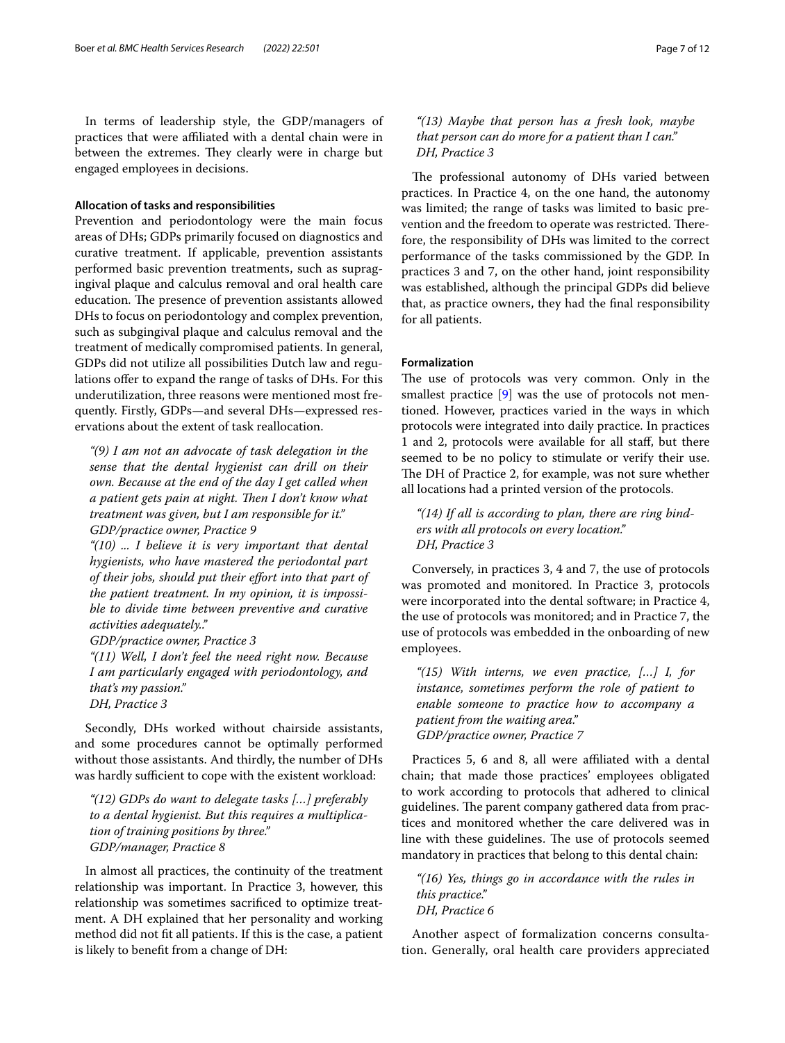In terms of leadership style, the GDP/managers of practices that were afliated with a dental chain were in between the extremes. They clearly were in charge but engaged employees in decisions.

#### **Allocation of tasks and responsibilities**

Prevention and periodontology were the main focus areas of DHs; GDPs primarily focused on diagnostics and curative treatment. If applicable, prevention assistants performed basic prevention treatments, such as supragingival plaque and calculus removal and oral health care education. The presence of prevention assistants allowed DHs to focus on periodontology and complex prevention, such as subgingival plaque and calculus removal and the treatment of medically compromised patients. In general, GDPs did not utilize all possibilities Dutch law and regulations ofer to expand the range of tasks of DHs. For this underutilization, three reasons were mentioned most frequently. Firstly, GDPs—and several DHs—expressed reservations about the extent of task reallocation.

*"(9) I am not an advocate of task delegation in the sense that the dental hygienist can drill on their own. Because at the end of the day I get called when a patient gets pain at night. Then I don't know what treatment was given, but I am responsible for it." GDP/practice owner, Practice 9*

*"(10) ... I believe it is very important that dental hygienists, who have mastered the periodontal part of their jobs, should put their efort into that part of the patient treatment. In my opinion, it is impossible to divide time between preventive and curative activities adequately.."*

*GDP/practice owner, Practice 3*

*"(11) Well, I don't feel the need right now. Because I am particularly engaged with periodontology, and that's my passion."*

*DH, Practice 3*

Secondly, DHs worked without chairside assistants, and some procedures cannot be optimally performed without those assistants. And thirdly, the number of DHs was hardly sufficient to cope with the existent workload:

*"(12) GDPs do want to delegate tasks […] preferably to a dental hygienist. But this requires a multiplication of training positions by three." GDP/manager, Practice 8*

In almost all practices, the continuity of the treatment relationship was important. In Practice 3, however, this relationship was sometimes sacrifced to optimize treatment. A DH explained that her personality and working method did not ft all patients. If this is the case, a patient is likely to beneft from a change of DH:

## *"(13) Maybe that person has a fresh look, maybe that person can do more for a patient than I can." DH, Practice 3*

The professional autonomy of DHs varied between practices. In Practice 4, on the one hand, the autonomy was limited; the range of tasks was limited to basic prevention and the freedom to operate was restricted. Therefore, the responsibility of DHs was limited to the correct performance of the tasks commissioned by the GDP. In practices 3 and 7, on the other hand, joint responsibility was established, although the principal GDPs did believe that, as practice owners, they had the fnal responsibility for all patients.

### **Formalization**

The use of protocols was very common. Only in the smallest practice [[9\]](#page-11-8) was the use of protocols not mentioned. However, practices varied in the ways in which protocols were integrated into daily practice. In practices 1 and 2, protocols were available for all staf, but there seemed to be no policy to stimulate or verify their use. The DH of Practice 2, for example, was not sure whether all locations had a printed version of the protocols.

*"(14) If all is according to plan, there are ring binders with all protocols on every location." DH, Practice 3*

Conversely, in practices 3, 4 and 7, the use of protocols was promoted and monitored. In Practice 3, protocols were incorporated into the dental software; in Practice 4, the use of protocols was monitored; and in Practice 7, the use of protocols was embedded in the onboarding of new employees.

*"(15) With interns, we even practice, […] I, for instance, sometimes perform the role of patient to enable someone to practice how to accompany a patient from the waiting area." GDP/practice owner, Practice 7*

Practices 5, 6 and 8, all were affiliated with a dental chain; that made those practices' employees obligated to work according to protocols that adhered to clinical guidelines. The parent company gathered data from practices and monitored whether the care delivered was in line with these guidelines. The use of protocols seemed mandatory in practices that belong to this dental chain:

*"(16) Yes, things go in accordance with the rules in this practice." DH, Practice 6*

Another aspect of formalization concerns consultation. Generally, oral health care providers appreciated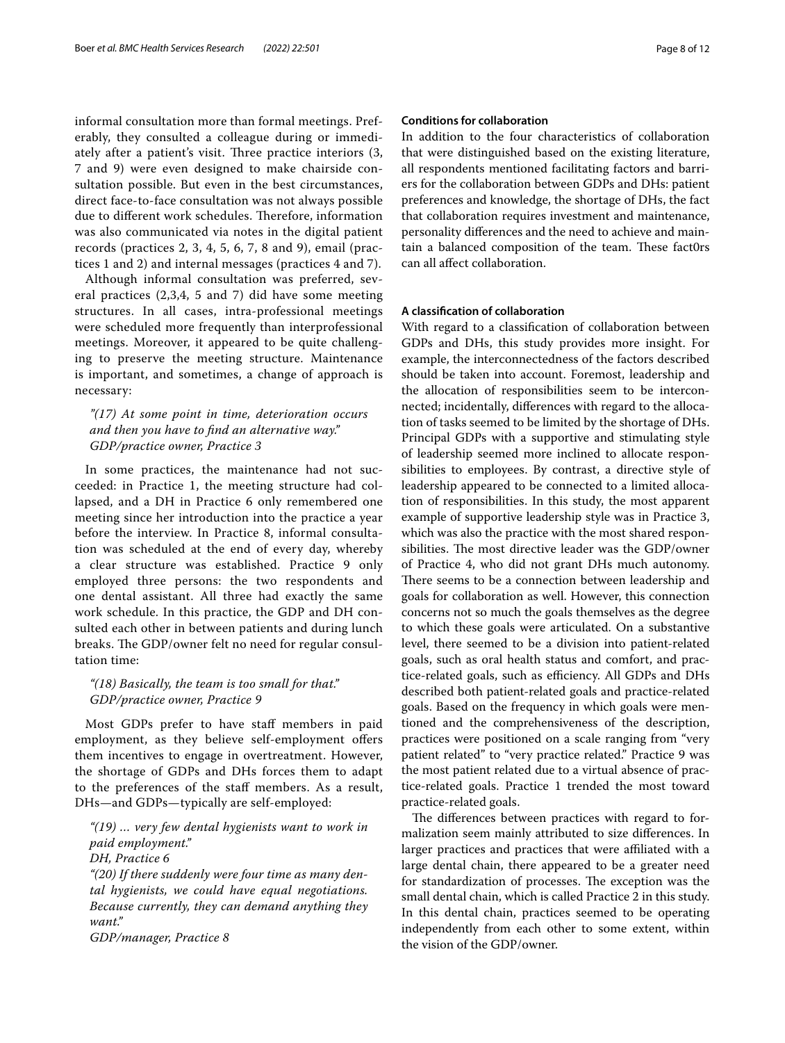informal consultation more than formal meetings. Preferably, they consulted a colleague during or immediately after a patient's visit. Three practice interiors  $(3, 1)$ 7 and 9) were even designed to make chairside consultation possible. But even in the best circumstances, direct face-to-face consultation was not always possible due to different work schedules. Therefore, information was also communicated via notes in the digital patient records (practices 2, 3, 4, 5, 6, 7, 8 and 9), email (practices 1 and 2) and internal messages (practices 4 and 7).

Although informal consultation was preferred, several practices (2,3,4, 5 and 7) did have some meeting structures. In all cases, intra-professional meetings were scheduled more frequently than interprofessional meetings. Moreover, it appeared to be quite challenging to preserve the meeting structure. Maintenance is important, and sometimes, a change of approach is necessary:

## *"(17) At some point in time, deterioration occurs and then you have to fnd an alternative way." GDP/practice owner, Practice 3*

In some practices, the maintenance had not succeeded: in Practice 1, the meeting structure had collapsed, and a DH in Practice 6 only remembered one meeting since her introduction into the practice a year before the interview. In Practice 8, informal consultation was scheduled at the end of every day, whereby a clear structure was established. Practice 9 only employed three persons: the two respondents and one dental assistant. All three had exactly the same work schedule. In this practice, the GDP and DH consulted each other in between patients and during lunch breaks. The GDP/owner felt no need for regular consultation time:

## *"(18) Basically, the team is too small for that." GDP/practice owner, Practice 9*

Most GDPs prefer to have staf members in paid employment, as they believe self-employment offers them incentives to engage in overtreatment. However, the shortage of GDPs and DHs forces them to adapt to the preferences of the staf members. As a result, DHs—and GDPs—typically are self-employed:

*"(19) … very few dental hygienists want to work in paid employment."*

```
DH, Practice 6
```
*"(20) If there suddenly were four time as many dental hygienists, we could have equal negotiations. Because currently, they can demand anything they want."*

*GDP/manager, Practice 8*

## **Conditions for collaboration**

In addition to the four characteristics of collaboration that were distinguished based on the existing literature, all respondents mentioned facilitating factors and barriers for the collaboration between GDPs and DHs: patient preferences and knowledge, the shortage of DHs, the fact that collaboration requires investment and maintenance, personality diferences and the need to achieve and maintain a balanced composition of the team. These fact0rs can all afect collaboration.

## **A classifcation of collaboration**

With regard to a classifcation of collaboration between GDPs and DHs, this study provides more insight. For example, the interconnectedness of the factors described should be taken into account. Foremost, leadership and the allocation of responsibilities seem to be interconnected; incidentally, diferences with regard to the allocation of tasks seemed to be limited by the shortage of DHs. Principal GDPs with a supportive and stimulating style of leadership seemed more inclined to allocate responsibilities to employees. By contrast, a directive style of leadership appeared to be connected to a limited allocation of responsibilities. In this study, the most apparent example of supportive leadership style was in Practice 3, which was also the practice with the most shared responsibilities. The most directive leader was the GDP/owner of Practice 4, who did not grant DHs much autonomy. There seems to be a connection between leadership and goals for collaboration as well. However, this connection concerns not so much the goals themselves as the degree to which these goals were articulated. On a substantive level, there seemed to be a division into patient-related goals, such as oral health status and comfort, and practice-related goals, such as efficiency. All GDPs and DHs described both patient-related goals and practice-related goals. Based on the frequency in which goals were mentioned and the comprehensiveness of the description, practices were positioned on a scale ranging from "very patient related" to "very practice related." Practice 9 was the most patient related due to a virtual absence of practice-related goals. Practice 1 trended the most toward practice-related goals.

The differences between practices with regard to formalization seem mainly attributed to size diferences. In larger practices and practices that were affiliated with a large dental chain, there appeared to be a greater need for standardization of processes. The exception was the small dental chain, which is called Practice 2 in this study. In this dental chain, practices seemed to be operating independently from each other to some extent, within the vision of the GDP/owner.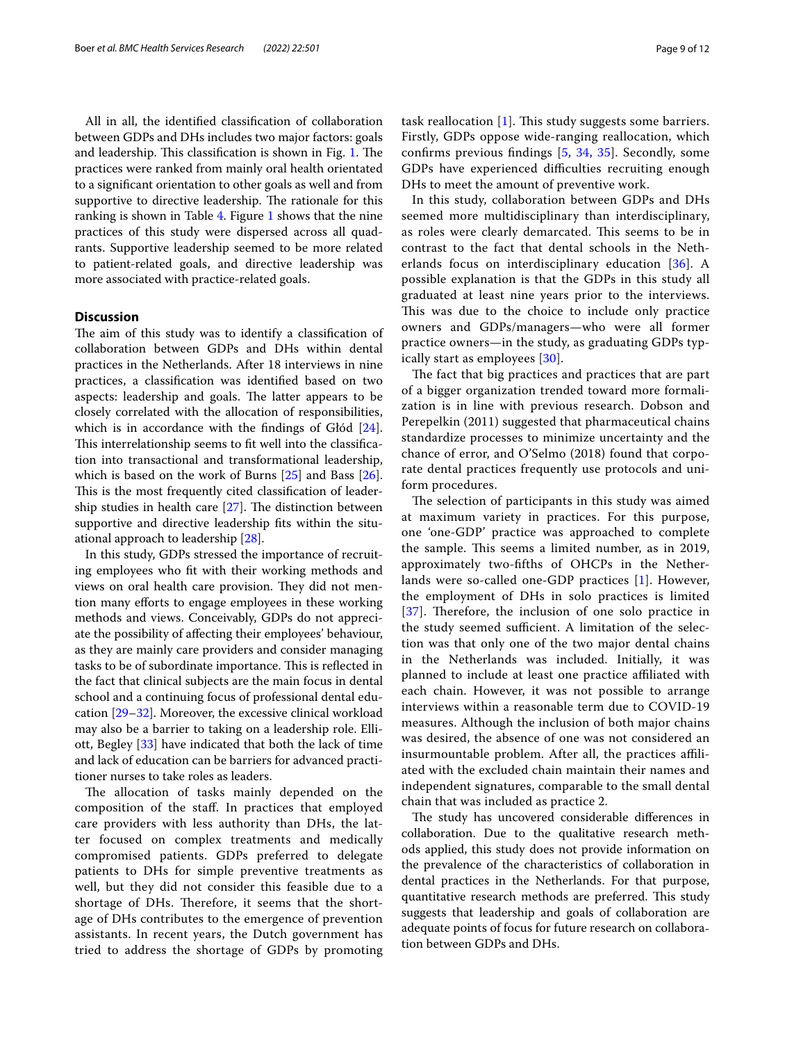All in all, the identifed classifcation of collaboration between GDPs and DHs includes two major factors: goals and leadership. This classification is shown in Fig. [1](#page-10-0). The practices were ranked from mainly oral health orientated to a signifcant orientation to other goals as well and from supportive to directive leadership. The rationale for this ranking is shown in Table [4.](#page-9-0) Figure [1](#page-10-0) shows that the nine practices of this study were dispersed across all quadrants. Supportive leadership seemed to be more related to patient-related goals, and directive leadership was more associated with practice-related goals.

## **Discussion**

The aim of this study was to identify a classification of collaboration between GDPs and DHs within dental practices in the Netherlands. After 18 interviews in nine practices, a classifcation was identifed based on two aspects: leadership and goals. The latter appears to be closely correlated with the allocation of responsibilities, which is in accordance with the findings of Głód [\[24](#page-11-23)]. This interrelationship seems to fit well into the classification into transactional and transformational leadership, which is based on the work of Burns [\[25](#page-11-24)] and Bass [\[26](#page-11-25)]. This is the most frequently cited classification of leadership studies in health care  $[27]$  $[27]$ . The distinction between supportive and directive leadership fts within the situational approach to leadership [\[28](#page-11-27)].

In this study, GDPs stressed the importance of recruiting employees who ft with their working methods and views on oral health care provision. They did not mention many efforts to engage employees in these working methods and views. Conceivably, GDPs do not appreciate the possibility of afecting their employees' behaviour, as they are mainly care providers and consider managing tasks to be of subordinate importance. This is reflected in the fact that clinical subjects are the main focus in dental school and a continuing focus of professional dental education [[29](#page-11-28)[–32](#page-11-29)]. Moreover, the excessive clinical workload may also be a barrier to taking on a leadership role. Elliott, Begley [[33](#page-11-30)] have indicated that both the lack of time and lack of education can be barriers for advanced practitioner nurses to take roles as leaders.

The allocation of tasks mainly depended on the composition of the staf. In practices that employed care providers with less authority than DHs, the latter focused on complex treatments and medically compromised patients. GDPs preferred to delegate patients to DHs for simple preventive treatments as well, but they did not consider this feasible due to a shortage of DHs. Therefore, it seems that the shortage of DHs contributes to the emergence of prevention assistants. In recent years, the Dutch government has tried to address the shortage of GDPs by promoting task reallocation  $[1]$  $[1]$ . This study suggests some barriers. Firstly, GDPs oppose wide-ranging reallocation, which confrms previous fndings [\[5](#page-11-4), [34](#page-11-31), [35\]](#page-11-32). Secondly, some GDPs have experienced difficulties recruiting enough DHs to meet the amount of preventive work.

In this study, collaboration between GDPs and DHs seemed more multidisciplinary than interdisciplinary, as roles were clearly demarcated. This seems to be in contrast to the fact that dental schools in the Netherlands focus on interdisciplinary education [\[36\]](#page-11-33). A possible explanation is that the GDPs in this study all graduated at least nine years prior to the interviews. This was due to the choice to include only practice owners and GDPs/managers—who were all former practice owners—in the study, as graduating GDPs typically start as employees [[30](#page-11-34)].

The fact that big practices and practices that are part of a bigger organization trended toward more formalization is in line with previous research. Dobson and Perepelkin (2011) suggested that pharmaceutical chains standardize processes to minimize uncertainty and the chance of error, and O'Selmo (2018) found that corporate dental practices frequently use protocols and uniform procedures.

The selection of participants in this study was aimed at maximum variety in practices. For this purpose, one 'one-GDP' practice was approached to complete the sample. This seems a limited number, as in 2019, approximately two-ffths of OHCPs in the Netherlands were so-called one-GDP practices [[1\]](#page-11-0). However, the employment of DHs in solo practices is limited [[37](#page-11-35)]. Therefore, the inclusion of one solo practice in the study seemed sufficient. A limitation of the selection was that only one of the two major dental chains in the Netherlands was included. Initially, it was planned to include at least one practice afliated with each chain. However, it was not possible to arrange interviews within a reasonable term due to COVID-19 measures. Although the inclusion of both major chains was desired, the absence of one was not considered an insurmountable problem. After all, the practices affiliated with the excluded chain maintain their names and independent signatures, comparable to the small dental chain that was included as practice 2.

The study has uncovered considerable differences in collaboration. Due to the qualitative research methods applied, this study does not provide information on the prevalence of the characteristics of collaboration in dental practices in the Netherlands. For that purpose, quantitative research methods are preferred. This study suggests that leadership and goals of collaboration are adequate points of focus for future research on collaboration between GDPs and DHs.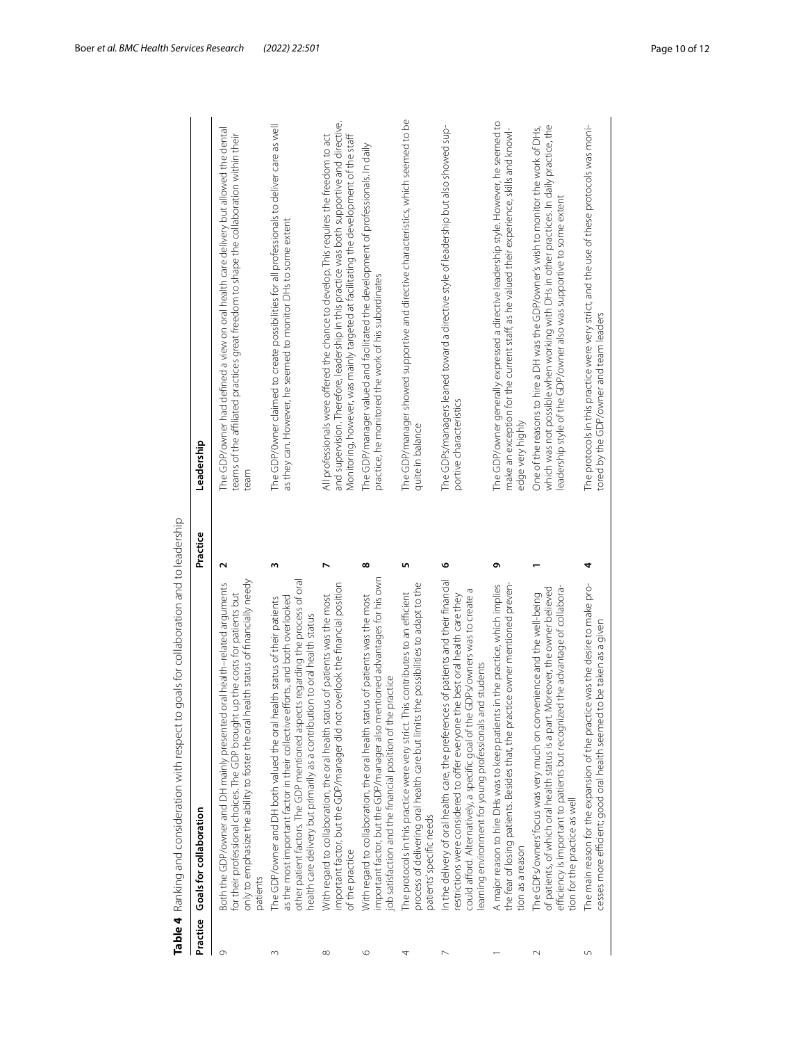|                | Table 4 Ranking and consideration with respect to goals for collaboration and to leadership                                                                                                                                                                                                                                |                      |                                                                                                                                                                                                                                                                               |
|----------------|----------------------------------------------------------------------------------------------------------------------------------------------------------------------------------------------------------------------------------------------------------------------------------------------------------------------------|----------------------|-------------------------------------------------------------------------------------------------------------------------------------------------------------------------------------------------------------------------------------------------------------------------------|
| Practice       | Goals for collaboration                                                                                                                                                                                                                                                                                                    | Practice             | Leadership                                                                                                                                                                                                                                                                    |
| $\circ$        | only to emphasize the ability to foster the oral health status of financially needy<br>Both the GDP/owner and DH mainly presented oral health-related arguments<br>for their professional choices. The GDP brought up the costs for patients but<br>patients                                                               | $\mathbf{\tilde{c}}$ | The GDP/owner had defined a view on oral health care delivery but allowed the dental<br>teams of the affiliated practices great freedom to shape the collaboration within their<br>team                                                                                       |
| $\sim$         | other patient factors. The GDP mentioned aspects regarding the process of oral<br>as the most important factor in their collective efforts, and both overlooked<br>The GDP/owner and DH both valued the oral health status of their patients<br>health care delivery but primarily as a contribution to oral health status | m                    | The GDP/0wner claimed to create possibilities for all professionals to deliver care as well<br>as they can. However, he seemed to monitor DHs to some extent                                                                                                                  |
| $^{\circ}$     | important factor, but the GDP/manager did not overlook the financial position<br>With regard to collaboration, the oral health status of patients was the most<br>of the practice                                                                                                                                          | N                    | and supervision. Therefore, leadership in this practice was both supportive and directive.<br>All professionals were offered the chance to develop. This requires the freedom to act<br>Monitoring, however, was mainly targeted at facilitating the development of the staff |
| $\circ$        | important factor, but the GDP/manager also mentioned advantages for his own<br>With regard to collaboration, the oral health status of patients was the most<br>ob satisfaction and the financial position of the practice                                                                                                 | $\infty$             | The GDP/manager valued and facilitated the development of professionals. In daily<br>practice, he monitored the work of his subordinates                                                                                                                                      |
| 4              | process of delivering oral health care but limits the possibilities to adapt to the<br>The protocols in this practice were very strict. This contributes to an efficient<br>patients' specific needs                                                                                                                       | Щ                    | The GDP/manager showed supportive and directive characteristics, which seemed to be<br>quite in balance                                                                                                                                                                       |
| $\overline{ }$ | of patients and their financial<br>could afford. Alternatively, a specific goal of the GDPs/owners was to create a<br>restrictions were considered to offer everyone the best oral health care they<br>learning environment for young professionals and students<br>n the delivery of oral health care, the preferences    | ৩                    | The GDPs/managers leaned toward a directive style of leadership but also showed sup-<br>portive characteristics                                                                                                                                                               |
|                | n the practice, which implies<br>the fear of losing patients. Besides that, the practice owner mentioned preven-<br>A major reason to hire DHs was to keep patients i<br>tion as a reason                                                                                                                                  | Ō                    | The GDP/owner generally expressed a directive leadership style. However, he seemed to<br>make an exception for the current staff, as he valued their experience, skills and knowl-<br>edge very highly                                                                        |
| $\sim$         | the advantage of collabora-<br>of patients, of which oral health status is a part. Moreover, the owner believed<br>The GDPs/owners' focus was very much on convenience and the well-being<br>efficiency is important to patients but recognized<br>tion for the practice as well                                           |                      | which was not possible when working with DHs in other practices. In daily practice, the<br>One of the reasons to hire a DH was the GDP/owner's wish to monitor the work of DHs,<br>eadership style of the GDP/owner also was supportive to some extent                        |
| 5              | was the desire to make pro-<br>be taken as a given<br>The main reason for the expansion of the practice<br>cesses more efficient; good oral health seemed to                                                                                                                                                               | 4                    | The protocols in this practice were very strict, and the use of these protocols was moni-<br>tored by the GDP/owner and team leaders                                                                                                                                          |

<span id="page-9-0"></span>**Table 4** Ranking and consideration with respect to goals for collaboration and to leadership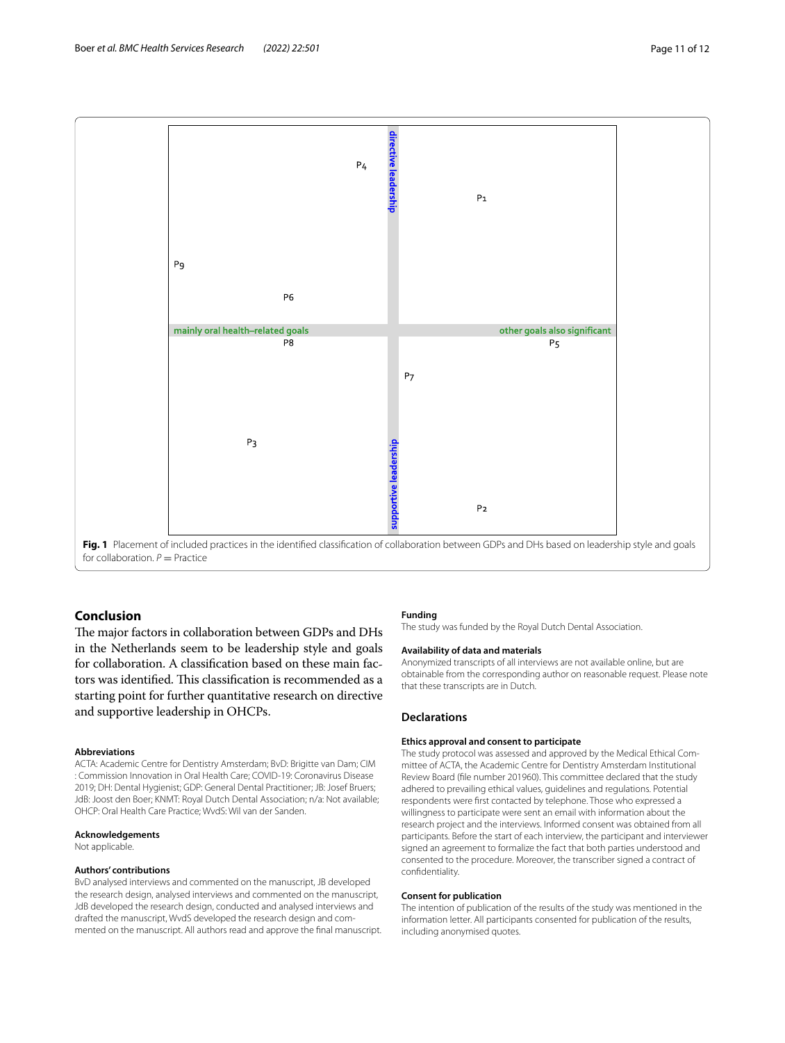

## <span id="page-10-0"></span>**Conclusion**

The major factors in collaboration between GDPs and DHs in the Netherlands seem to be leadership style and goals for collaboration. A classifcation based on these main factors was identified. This classification is recommended as a starting point for further quantitative research on directive and supportive leadership in OHCPs.

#### **Abbreviations**

ACTA: Academic Centre for Dentistry Amsterdam; BvD: Brigitte van Dam; CIM : Commission Innovation in Oral Health Care; COVID-19: Coronavirus Disease 2019; DH: Dental Hygienist; GDP: General Dental Practitioner; JB: Josef Bruers; JdB: Joost den Boer; KNMT: Royal Dutch Dental Association; n/a: Not available; OHCP: Oral Health Care Practice; WvdS: Wil van der Sanden.

## **Acknowledgements**

Not applicable.

#### **Authors' contributions**

BvD analysed interviews and commented on the manuscript, JB developed the research design, analysed interviews and commented on the manuscript, JdB developed the research design, conducted and analysed interviews and drafted the manuscript, WvdS developed the research design and commented on the manuscript. All authors read and approve the fnal manuscript.

#### **Funding**

The study was funded by the Royal Dutch Dental Association.

#### **Availability of data and materials**

Anonymized transcripts of all interviews are not available online, but are obtainable from the corresponding author on reasonable request. Please note that these transcripts are in Dutch.

## **Declarations**

## **Ethics approval and consent to participate**

The study protocol was assessed and approved by the Medical Ethical Committee of ACTA, the Academic Centre for Dentistry Amsterdam Institutional Review Board (fle number 201960). This committee declared that the study adhered to prevailing ethical values, guidelines and regulations. Potential respondents were frst contacted by telephone. Those who expressed a willingness to participate were sent an email with information about the research project and the interviews. Informed consent was obtained from all participants. Before the start of each interview, the participant and interviewer signed an agreement to formalize the fact that both parties understood and consented to the procedure. Moreover, the transcriber signed a contract of confdentiality.

#### **Consent for publication**

The intention of publication of the results of the study was mentioned in the information letter. All participants consented for publication of the results, including anonymised quotes.